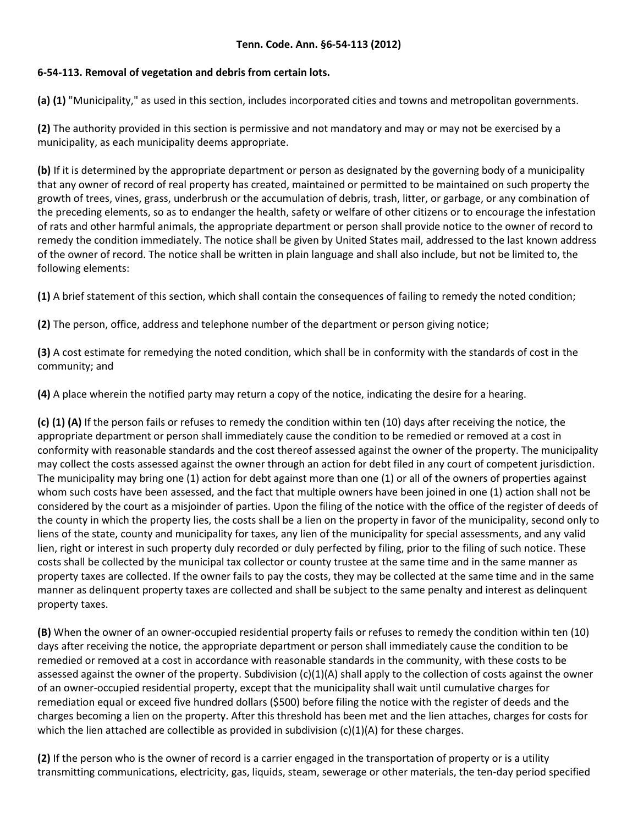## **6-54-113. Removal of vegetation and debris from certain lots.**

**(a) (1)** "Municipality," as used in this section, includes incorporated cities and towns and metropolitan governments.

**(2)** The authority provided in this section is permissive and not mandatory and may or may not be exercised by a municipality, as each municipality deems appropriate.

**(b)** If it is determined by the appropriate department or person as designated by the governing body of a municipality that any owner of record of real property has created, maintained or permitted to be maintained on such property the growth of trees, vines, grass, underbrush or the accumulation of debris, trash, litter, or garbage, or any combination of the preceding elements, so as to endanger the health, safety or welfare of other citizens or to encourage the infestation of rats and other harmful animals, the appropriate department or person shall provide notice to the owner of record to remedy the condition immediately. The notice shall be given by United States mail, addressed to the last known address of the owner of record. The notice shall be written in plain language and shall also include, but not be limited to, the following elements:

**(1)** A brief statement of this section, which shall contain the consequences of failing to remedy the noted condition;

**(2)** The person, office, address and telephone number of the department or person giving notice;

**(3)** A cost estimate for remedying the noted condition, which shall be in conformity with the standards of cost in the community; and

**(4)** A place wherein the notified party may return a copy of the notice, indicating the desire for a hearing.

**(c) (1) (A)** If the person fails or refuses to remedy the condition within ten (10) days after receiving the notice, the appropriate department or person shall immediately cause the condition to be remedied or removed at a cost in conformity with reasonable standards and the cost thereof assessed against the owner of the property. The municipality may collect the costs assessed against the owner through an action for debt filed in any court of competent jurisdiction. The municipality may bring one (1) action for debt against more than one (1) or all of the owners of properties against whom such costs have been assessed, and the fact that multiple owners have been joined in one (1) action shall not be considered by the court as a misjoinder of parties. Upon the filing of the notice with the office of the register of deeds of the county in which the property lies, the costs shall be a lien on the property in favor of the municipality, second only to liens of the state, county and municipality for taxes, any lien of the municipality for special assessments, and any valid lien, right or interest in such property duly recorded or duly perfected by filing, prior to the filing of such notice. These costs shall be collected by the municipal tax collector or county trustee at the same time and in the same manner as property taxes are collected. If the owner fails to pay the costs, they may be collected at the same time and in the same manner as delinquent property taxes are collected and shall be subject to the same penalty and interest as delinquent property taxes.

**(B)** When the owner of an owner-occupied residential property fails or refuses to remedy the condition within ten (10) days after receiving the notice, the appropriate department or person shall immediately cause the condition to be remedied or removed at a cost in accordance with reasonable standards in the community, with these costs to be assessed against the owner of the property. Subdivision  $(c)(1)(A)$  shall apply to the collection of costs against the owner of an owner-occupied residential property, except that the municipality shall wait until cumulative charges for remediation equal or exceed five hundred dollars (\$500) before filing the notice with the register of deeds and the charges becoming a lien on the property. After this threshold has been met and the lien attaches, charges for costs for which the lien attached are collectible as provided in subdivision  $(c)(1)(A)$  for these charges.

**(2)** If the person who is the owner of record is a carrier engaged in the transportation of property or is a utility transmitting communications, electricity, gas, liquids, steam, sewerage or other materials, the ten-day period specified